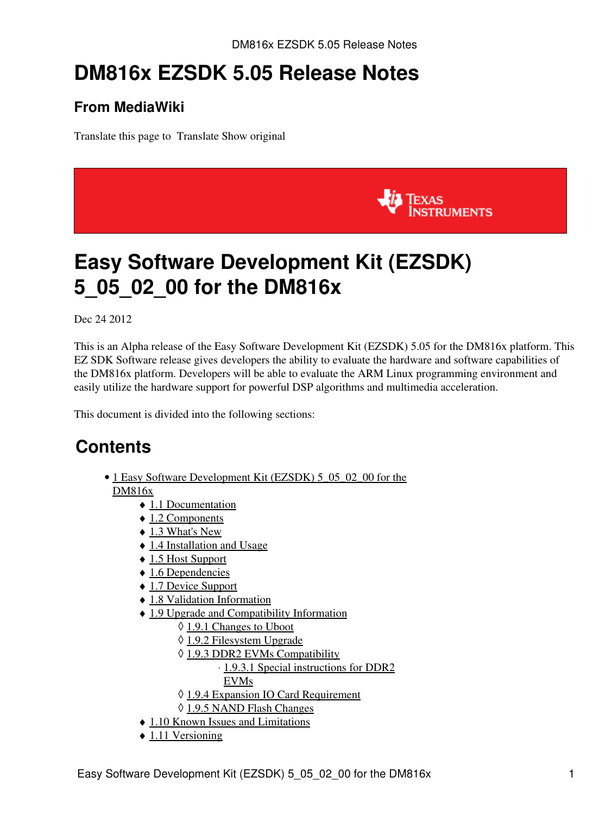# **DM816x EZSDK 5.05 Release Notes**

### **From MediaWiki**

Translate this page to Translate Show original



# <span id="page-0-0"></span>**Easy Software Development Kit (EZSDK) 5\_05\_02\_00 for the DM816x**

Dec 24 2012

This is an Alpha release of the Easy Software Development Kit (EZSDK) 5.05 for the DM816x platform. This EZ SDK Software release gives developers the ability to evaluate the hardware and software capabilities of the DM816x platform. Developers will be able to evaluate the ARM Linux programming environment and easily utilize the hardware support for powerful DSP algorithms and multimedia acceleration.

This document is divided into the following sections:

### **Contents**

- 1 Easy Software Development Kit (EZSDK) 5 05 02 00 for the [DM816x](#page-0-0)
	- ♦ [1.1 Documentation](#page-1-0)
	- ◆ [1.2 Components](#page-1-1)
	- $\triangleleft$  [1.3 What's New](#page-2-0)
	- ♦ [1.4 Installation and Usage](#page-3-0)
	- ♦ [1.5 Host Support](#page-3-1)
	- $\triangle$  [1.6 Dependencies](#page-3-2)
	- ♦ [1.7 Device Support](#page-3-3)
	- ♦ [1.8 Validation Information](#page-3-4)
	- [1.9 Upgrade and Compatibility Information](#page-3-5)
		- ◊ [1.9.1 Changes to Uboot](#page-3-6)
		- ◊ [1.9.2 Filesystem Upgrade](#page-3-7)
		- ◊ [1.9.3 DDR2 EVMs Compatibility](#page-3-8)
			- ⋅ [1.9.3.1 Special instructions for DDR2](#page-3-9)
			- [EVMs](#page-3-9)
		- ◊ [1.9.4 Expansion IO Card Requirement](#page-4-0)
		- ◊ [1.9.5 NAND Flash Changes](#page-4-1)
	- ♦ [1.10 Known Issues and Limitations](#page-4-2)
	- $\triangle$  [1.11 Versioning](#page-6-0)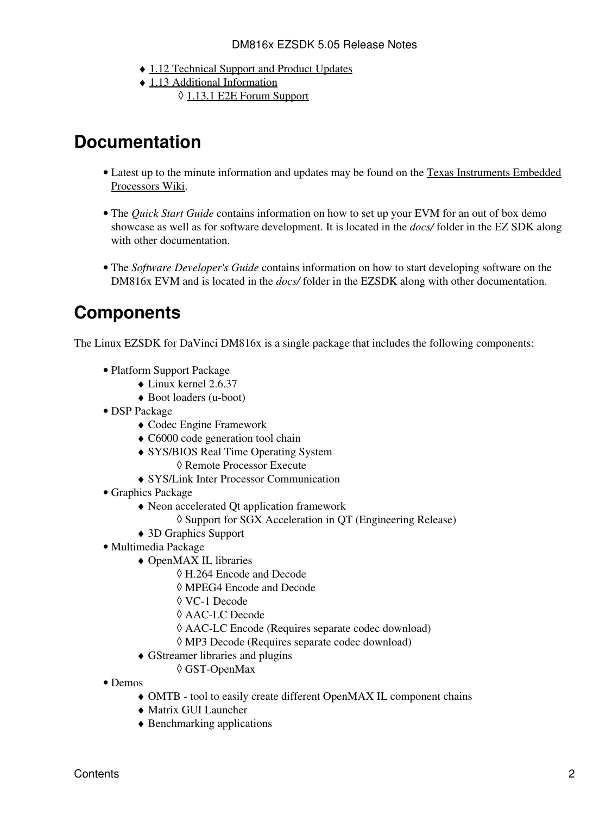- ♦ [1.12 Technical Support and Product Updates](#page-7-0)
- [1.13 Additional Information](#page-7-1) ♦ ◊ [1.13.1 E2E Forum Support](#page-7-2)

### <span id="page-1-0"></span>**Documentation**

- Latest up to the minute information and updates may be found on the [Texas Instruments Embedded](http://processors.wiki.ti.com/index.php/Main_Page) [Processors Wiki.](http://processors.wiki.ti.com/index.php/Main_Page)
- The *Quick Start Guide* contains information on how to set up your EVM for an out of box demo showcase as well as for software development. It is located in the *docs/* folder in the EZ SDK along with other documentation.
- The Software Developer's Guide contains information on how to start developing software on the DM816x EVM and is located in the *docs/* folder in the EZSDK along with other documentation.

### <span id="page-1-1"></span>**Components**

The Linux EZSDK for DaVinci DM816x is a single package that includes the following components:

- Platform Support Package
	- ♦ Linux kernel 2.6.37
	- ♦ Boot loaders (u-boot)
- DSP Package
	- ♦ Codec Engine Framework
	- ♦ C6000 code generation tool chain
	- SYS/BIOS Real Time Operating System ♦
		- ◊ Remote Processor Execute
	- ♦ SYS/Link Inter Processor Communication
- Graphics Package
	- Neon accelerated Qt application framework ♦
		- ◊ Support for SGX Acceleration in QT (Engineering Release)
	- ♦ 3D Graphics Support
- Multimedia Package
	- OpenMAX IL libraries ♦
		- ◊ H.264 Encode and Decode
		- ◊ MPEG4 Encode and Decode
		- ◊ VC-1 Decode
		- ◊ AAC-LC Decode
		- ◊ AAC-LC Encode (Requires separate codec download)
		- ◊ MP3 Decode (Requires separate codec download)
	- GStreamer libraries and plugins ♦
		- ◊ GST-OpenMax
- Demos
	- ♦ OMTB tool to easily create different OpenMAX IL component chains
	- ♦ Matrix GUI Launcher
	- ♦ Benchmarking applications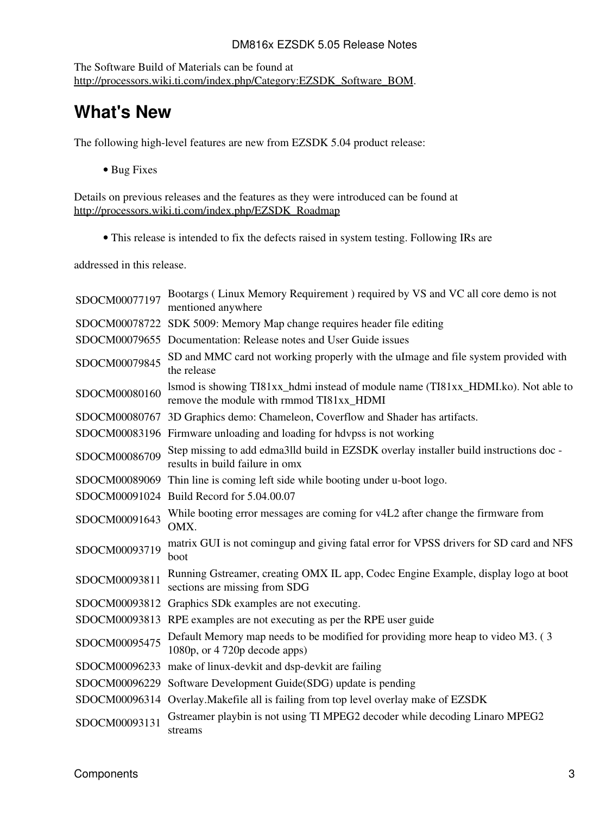#### DM816x EZSDK 5.05 Release Notes

The Software Build of Materials can be found at [http://processors.wiki.ti.com/index.php/Category:EZSDK\\_Software\\_BOM.](http://processors.wiki.ti.com/index.php/Category:EZSDK_Software_BOM)

### <span id="page-2-0"></span>**What's New**

The following high-level features are new from EZSDK 5.04 product release:

• Bug Fixes

Details on previous releases and the features as they were introduced can be found at [http://processors.wiki.ti.com/index.php/EZSDK\\_Roadmap](http://processors.wiki.ti.com/index.php/EZSDK_Roadmap)

• This release is intended to fix the defects raised in system testing. Following IRs are

addressed in this release.

| SDOCM00077197 | Bootargs (Linux Memory Requirement) required by VS and VC all core demo is not<br>mentioned anywhere                          |
|---------------|-------------------------------------------------------------------------------------------------------------------------------|
|               | SDOCM00078722 SDK 5009: Memory Map change requires header file editing                                                        |
|               | SDOCM00079655 Documentation: Release notes and User Guide issues                                                              |
| SDOCM00079845 | SD and MMC card not working properly with the ulmage and file system provided with<br>the release                             |
| SDOCM00080160 | lsmod is showing TI81xx_hdmi instead of module name (TI81xx_HDMI.ko). Not able to<br>remove the module with rmmod TI81xx_HDMI |
|               | SDOCM00080767 3D Graphics demo: Chameleon, Coverflow and Shader has artifacts.                                                |
|               | SDOCM00083196 Firmware unloading and loading for hdvpss is not working                                                        |
| SDOCM00086709 | Step missing to add edma3lld build in EZSDK overlay installer build instructions doc-<br>results in build failure in omx      |
|               | SDOCM00089069 Thin line is coming left side while booting under u-boot logo.                                                  |
|               | SDOCM00091024 Build Record for 5.04.00.07                                                                                     |
| SDOCM00091643 | While booting error messages are coming for v4L2 after change the firmware from<br>OMX.                                       |
| SDOCM00093719 | matrix GUI is not comingup and giving fatal error for VPSS drivers for SD card and NFS<br>boot                                |
| SDOCM00093811 | Running Gstreamer, creating OMX IL app, Codec Engine Example, display logo at boot<br>sections are missing from SDG           |
|               | SDOCM00093812 Graphics SDk examples are not executing.                                                                        |
|               | SDOCM00093813 RPE examples are not executing as per the RPE user guide                                                        |
| SDOCM00095475 | Default Memory map needs to be modified for providing more heap to video M3. (3)<br>1080p, or 4 720p decode apps)             |
|               | SDOCM00096233 make of linux-devkit and dsp-devkit are failing                                                                 |
|               | SDOCM00096229 Software Development Guide(SDG) update is pending                                                               |
|               | SDOCM00096314 Overlay. Makefile all is failing from top level overlay make of EZSDK                                           |
| SDOCM00093131 | Gstreamer playbin is not using TI MPEG2 decoder while decoding Linaro MPEG2<br>streams                                        |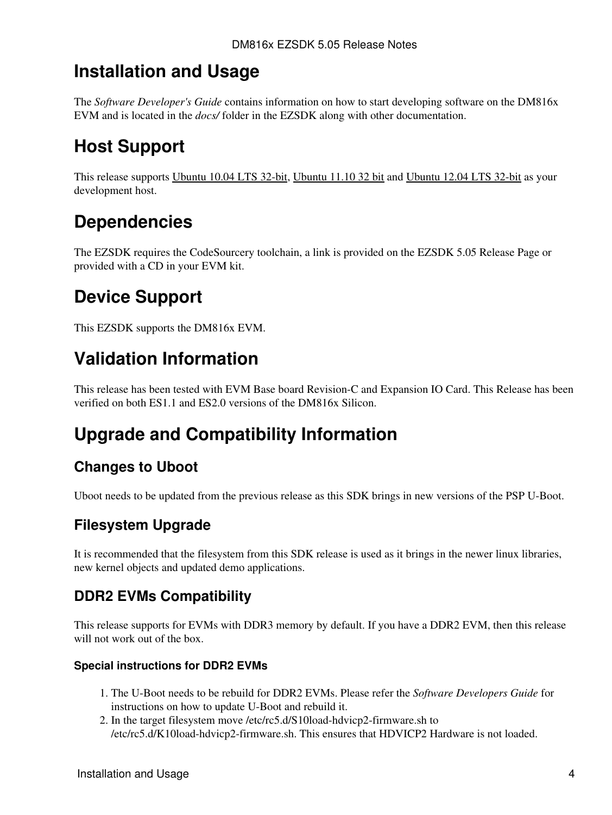### <span id="page-3-0"></span>**Installation and Usage**

The *Software Developer's Guide* contains information on how to start developing software on the DM816x EVM and is located in the *docs/* folder in the EZSDK along with other documentation.

## <span id="page-3-1"></span>**Host Support**

This release supports [Ubuntu 10.04 LTS 32-bit,](http://www.ubuntu.com) [Ubuntu 11.10 32 bit](http://www.ubuntu.com) and [Ubuntu 12.04 LTS 32-bit](http://www.ubuntu.com) as your development host.

### <span id="page-3-2"></span>**Dependencies**

The EZSDK requires the CodeSourcery toolchain, a link is provided on the EZSDK 5.05 Release Page or provided with a CD in your EVM kit.

## <span id="page-3-3"></span>**Device Support**

This EZSDK supports the DM816x EVM.

### <span id="page-3-4"></span>**Validation Information**

This release has been tested with EVM Base board Revision-C and Expansion IO Card. This Release has been verified on both ES1.1 and ES2.0 versions of the DM816x Silicon.

## <span id="page-3-5"></span>**Upgrade and Compatibility Information**

### <span id="page-3-6"></span>**Changes to Uboot**

Uboot needs to be updated from the previous release as this SDK brings in new versions of the PSP U-Boot.

### <span id="page-3-7"></span>**Filesystem Upgrade**

It is recommended that the filesystem from this SDK release is used as it brings in the newer linux libraries, new kernel objects and updated demo applications.

#### <span id="page-3-8"></span>**DDR2 EVMs Compatibility**

This release supports for EVMs with DDR3 memory by default. If you have a DDR2 EVM, then this release will not work out of the box.

#### <span id="page-3-9"></span>**Special instructions for DDR2 EVMs**

- 1. The U-Boot needs to be rebuild for DDR2 EVMs. Please refer the Software Developers Guide for instructions on how to update U-Boot and rebuild it.
- 2. In the target filesystem move /etc/rc5.d/S10load-hdvicp2-firmware.sh to /etc/rc5.d/K10load-hdvicp2-firmware.sh. This ensures that HDVICP2 Hardware is not loaded.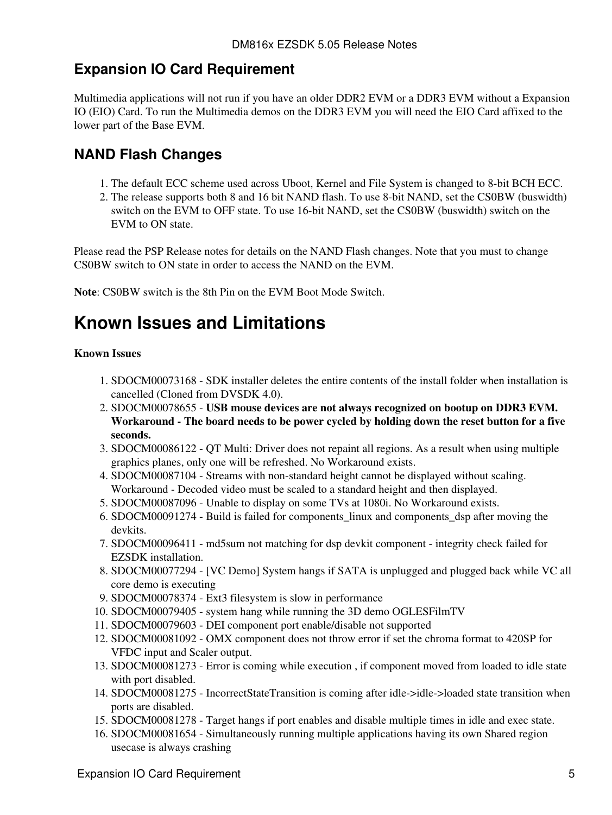#### <span id="page-4-0"></span>**Expansion IO Card Requirement**

Multimedia applications will not run if you have an older DDR2 EVM or a DDR3 EVM without a Expansion IO (EIO) Card. To run the Multimedia demos on the DDR3 EVM you will need the EIO Card affixed to the lower part of the Base EVM.

#### <span id="page-4-1"></span>**NAND Flash Changes**

- 1. The default ECC scheme used across Uboot, Kernel and File System is changed to 8-bit BCH ECC.
- 2. The release supports both 8 and 16 bit NAND flash. To use 8-bit NAND, set the CS0BW (buswidth) switch on the EVM to OFF state. To use 16-bit NAND, set the CS0BW (buswidth) switch on the EVM to ON state.

Please read the PSP Release notes for details on the NAND Flash changes. Note that you must to change CS0BW switch to ON state in order to access the NAND on the EVM.

**Note**: CS0BW switch is the 8th Pin on the EVM Boot Mode Switch.

### <span id="page-4-2"></span>**Known Issues and Limitations**

#### **Known Issues**

- 1. SDOCM00073168 SDK installer deletes the entire contents of the install folder when installation is cancelled (Cloned from DVSDK 4.0).
- 2. SDOCM00078655 USB mouse devices are not always recognized on bootup on DDR3 EVM. **Workaround - The board needs to be power cycled by holding down the reset button for a five seconds.**
- 3. SDOCM00086122 QT Multi: Driver does not repaint all regions. As a result when using multiple graphics planes, only one will be refreshed. No Workaround exists.
- 4. SDOCM00087104 Streams with non-standard height cannot be displayed without scaling. Workaround - Decoded video must be scaled to a standard height and then displayed.
- 5. SDOCM00087096 Unable to display on some TVs at 1080i. No Workaround exists.
- 6. SDOCM00091274 Build is failed for components\_linux and components\_dsp after moving the devkits.
- 7. SDOCM00096411 md5sum not matching for dsp devkit component integrity check failed for EZSDK installation.
- 8. SDOCM00077294 [VC Demo] System hangs if SATA is unplugged and plugged back while VC all core demo is executing
- 9. SDOCM00078374 Ext3 filesystem is slow in performance
- 10. SDOCM00079405 system hang while running the 3D demo OGLESFilmTV
- 11. SDOCM00079603 DEI component port enable/disable not supported
- 12. SDOCM00081092 OMX component does not throw error if set the chroma format to 420SP for VFDC input and Scaler output.
- 13. SDOCM00081273 Error is coming while execution, if component moved from loaded to idle state with port disabled.
- 14. SDOCM00081275 IncorrectStateTransition is coming after idle->idle->loaded state transition when ports are disabled.
- 15. SDOCM00081278 Target hangs if port enables and disable multiple times in idle and exec state.
- 16. SDOCM00081654 Simultaneously running multiple applications having its own Shared region usecase is always crashing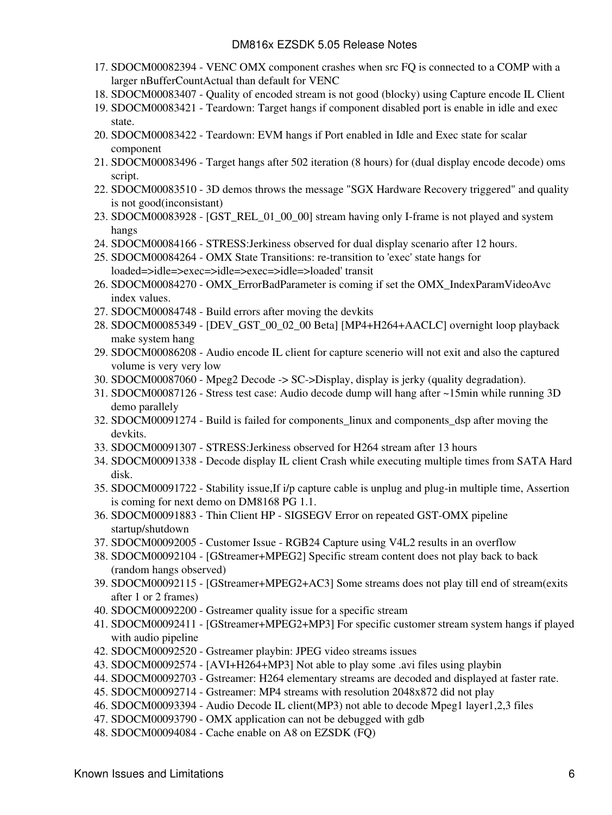- 17. SDOCM00082394 VENC OMX component crashes when src FQ is connected to a COMP with a larger nBufferCountActual than default for VENC
- 18. SDOCM00083407 Quality of encoded stream is not good (blocky) using Capture encode IL Client
- 19. SDOCM00083421 Teardown: Target hangs if component disabled port is enable in idle and exec state.
- 20. SDOCM00083422 Teardown: EVM hangs if Port enabled in Idle and Exec state for scalar component
- 21. SDOCM00083496 Target hangs after 502 iteration (8 hours) for (dual display encode decode) oms script.
- 22. SDOCM00083510 3D demos throws the message "SGX Hardware Recovery triggered" and quality is not good(inconsistant)
- 23. SDOCM00083928 [GST\_REL\_01\_00\_00] stream having only I-frame is not played and system hangs
- 24. SDOCM00084166 STRESS:Jerkiness observed for dual display scenario after 12 hours.
- 25. SDOCM00084264 OMX State Transitions: re-transition to 'exec' state hangs for loaded=>idle=>exec=>idle=>exec=>idle=>loaded' transit
- 26. SDOCM00084270 OMX\_ErrorBadParameter is coming if set the OMX\_IndexParamVideoAvc index values.
- 27. SDOCM00084748 Build errors after moving the devkits
- 28. SDOCM00085349 [DEV\_GST\_00\_02\_00 Beta] [MP4+H264+AACLC] overnight loop playback make system hang
- 29. SDOCM00086208 Audio encode IL client for capture scenerio will not exit and also the captured volume is very very low
- 30. SDOCM00087060 Mpeg2 Decode -> SC->Display, display is jerky (quality degradation).
- SDOCM00087126 Stress test case: Audio decode dump will hang after ~15min while running 3D 31. demo parallely
- SDOCM00091274 Build is failed for components\_linux and components\_dsp after moving the 32. devkits.
- 33. SDOCM00091307 STRESS:Jerkiness observed for H264 stream after 13 hours
- SDOCM00091338 Decode display IL client Crash while executing multiple times from SATA Hard 34. disk.
- 35. SDOCM00091722 Stability issue, If i/p capture cable is unplug and plug-in multiple time, Assertion is coming for next demo on DM8168 PG 1.1.
- 36. SDOCM00091883 Thin Client HP SIGSEGV Error on repeated GST-OMX pipeline startup/shutdown
- 37. SDOCM00092005 Customer Issue RGB24 Capture using V4L2 results in an overflow
- SDOCM00092104 [GStreamer+MPEG2] Specific stream content does not play back to back 38. (random hangs observed)
- SDOCM00092115 [GStreamer+MPEG2+AC3] Some streams does not play till end of stream(exits 39. after 1 or 2 frames)
- 40. SDOCM00092200 Gstreamer quality issue for a specific stream
- 41. SDOCM00092411 [GStreamer+MPEG2+MP3] For specific customer stream system hangs if played with audio pipeline
- 42. SDOCM00092520 Gstreamer playbin: JPEG video streams issues
- 43. SDOCM00092574 [AVI+H264+MP3] Not able to play some .avi files using playbin
- 44. SDOCM00092703 Gstreamer: H264 elementary streams are decoded and displayed at faster rate.
- 45. SDOCM00092714 Gstreamer: MP4 streams with resolution 2048x872 did not play
- 46. SDOCM00093394 Audio Decode IL client(MP3) not able to decode Mpeg1 layer1,2,3 files
- 47. SDOCM00093790 OMX application can not be debugged with gdb
- 48. SDOCM00094084 Cache enable on A8 on EZSDK (FQ)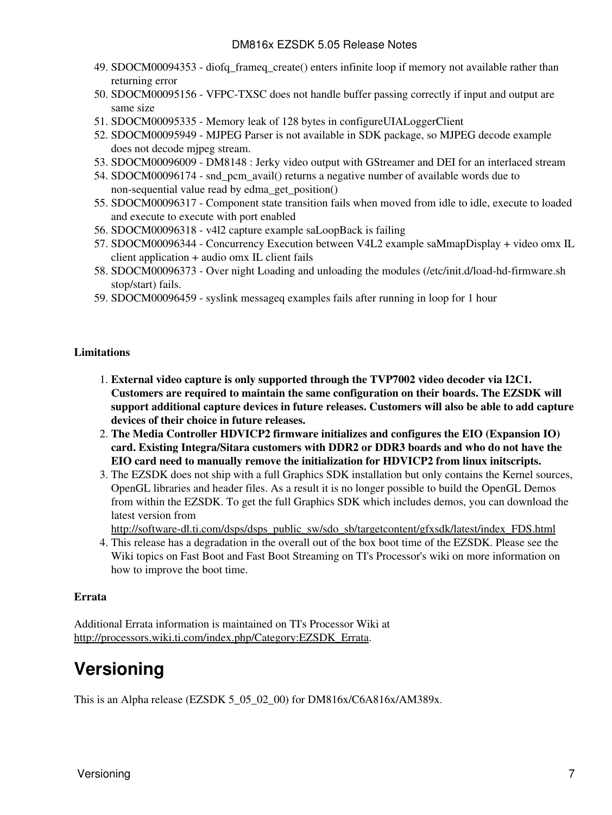- SDOCM00094353 diofq\_frameq\_create() enters infinite loop if memory not available rather than 49. returning error
- SDOCM00095156 VFPC-TXSC does not handle buffer passing correctly if input and output are 50. same size
- 51. SDOCM00095335 Memory leak of 128 bytes in configureUIALoggerClient
- 52. SDOCM00095949 MJPEG Parser is not available in SDK package, so MJPEG decode example does not decode mjpeg stream.
- 53. SDOCM00096009 DM8148 : Jerky video output with GStreamer and DEI for an interlaced stream
- 54. SDOCM00096174 snd\_pcm\_avail() returns a negative number of available words due to non-sequential value read by edma\_get\_position()
- 55. SDOCM00096317 Component state transition fails when moved from idle to idle, execute to loaded and execute to execute with port enabled
- 56. SDOCM00096318 v4l2 capture example saLoopBack is failing
- 57. SDOCM00096344 Concurrency Execution between V4L2 example saMmapDisplay + video omx IL client application + audio omx IL client fails
- 58. SDOCM00096373 Over night Loading and unloading the modules (/etc/init.d/load-hd-firmware.sh stop/start) fails.
- 59. SDOCM00096459 syslink messageq examples fails after running in loop for 1 hour

#### **Limitations**

- **External video capture is only supported through the TVP7002 video decoder via I2C1.** 1. **Customers are required to maintain the same configuration on their boards. The EZSDK will support additional capture devices in future releases. Customers will also be able to add capture devices of their choice in future releases.**
- **The Media Controller HDVICP2 firmware initializes and configures the EIO (Expansion IO)** 2. **card. Existing Integra/Sitara customers with DDR2 or DDR3 boards and who do not have the EIO card need to manually remove the initialization for HDVICP2 from linux initscripts.**
- 3. The EZSDK does not ship with a full Graphics SDK installation but only contains the Kernel sources, OpenGL libraries and header files. As a result it is no longer possible to build the OpenGL Demos from within the EZSDK. To get the full Graphics SDK which includes demos, you can download the latest version from

[http://software-dl.ti.com/dsps/dsps\\_public\\_sw/sdo\\_sb/targetcontent/gfxsdk/latest/index\\_FDS.html](http://software-dl.ti.com/dsps/dsps_public_sw/sdo_sb/targetcontent/gfxsdk/latest/index_FDS.html)

4. This release has a degradation in the overall out of the box boot time of the EZSDK. Please see the Wiki topics on Fast Boot and Fast Boot Streaming on TI's Processor's wiki on more information on how to improve the boot time.

#### **Errata**

Additional Errata information is maintained on TI's Processor Wiki at [http://processors.wiki.ti.com/index.php/Category:EZSDK\\_Errata.](http://processors.wiki.ti.com/index.php/Category:EZSDK_Errata)

### <span id="page-6-0"></span>**Versioning**

This is an Alpha release (EZSDK 5\_05\_02\_00) for DM816x/C6A816x/AM389x.